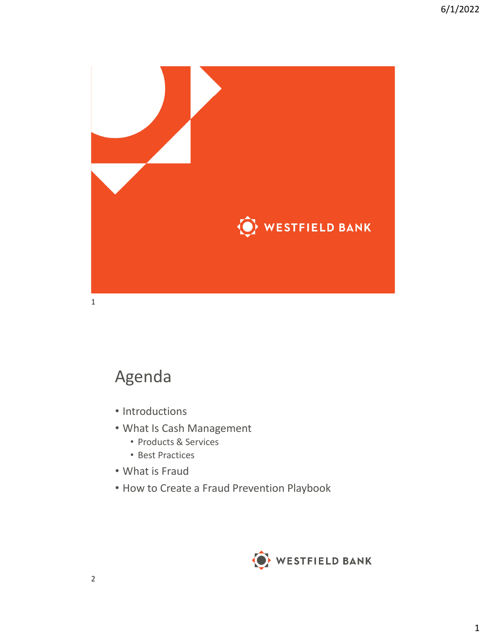

## Agenda

- Introductions
- What Is Cash Management
	- Products & Services
	- Best Practices
- What is Fraud
- How to Create a Fraud Prevention Playbook

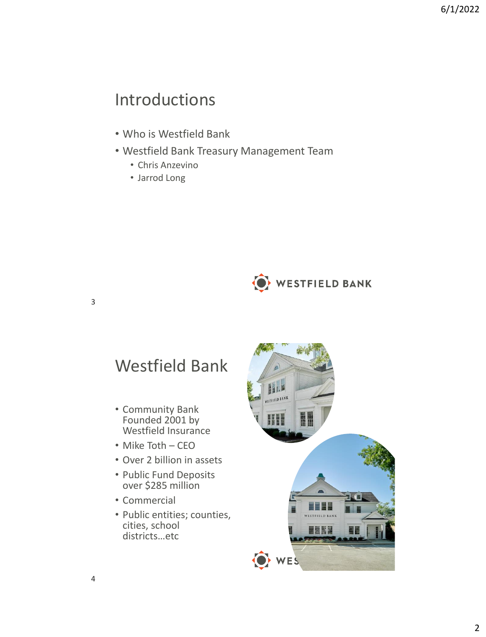## Introductions

- Who is Westfield Bank
- Westfield Bank Treasury Management Team
	- Chris Anzevino
	- Jarrod Long



## Westfield Bank

- Community Bank Founded 2001 by Westfield Insurance
- Mike Toth CEO
- Over 2 billion in assets
- Public Fund Deposits over \$285 million
- Commercial
- Public entities; counties, cities, school districts…etc

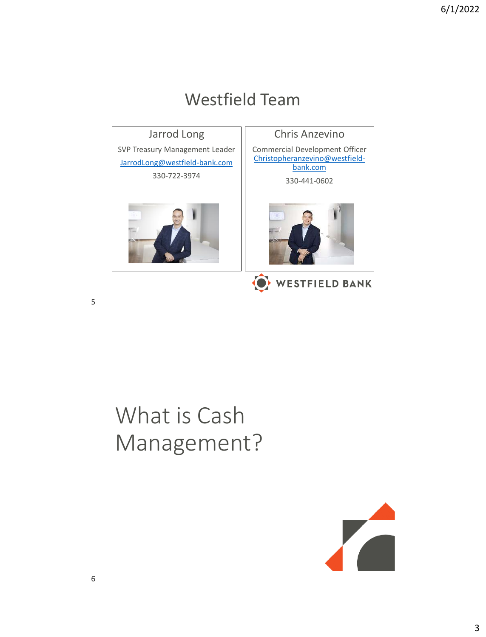### Westfield Team Jarrod Long Chris Anzevino SVP Treasury Management Leader Commercial Development Officer [Christopheranzevino@westfield-](mailto:Christopheranzevino@westfield-bank.com)[JarrodLong@westfield-bank.com](mailto:JarrodLong@westfield-bank.com) bank.com 330-722-3974 330-441-0602 WESTFIELD BANK

# What is Cash Management?

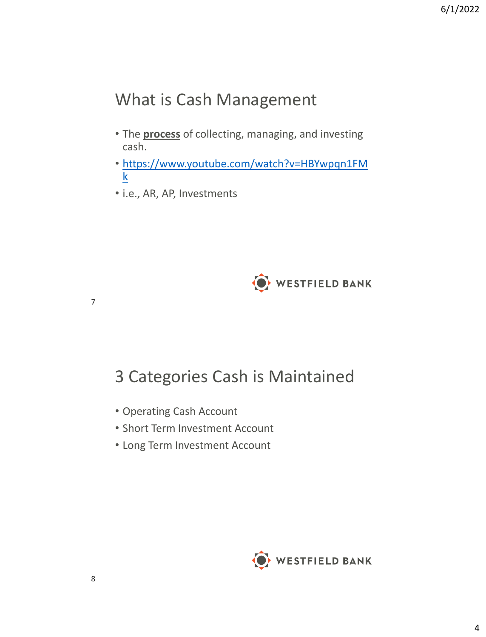## What is Cash Management

- The **process** of collecting, managing, and investing cash.
- [https://www.youtube.com/watch?v=HBYwpqn1FM](https://www.youtube.com/watch?v=HBYwpqn1FMk) k
- i.e., AR, AP, Investments



## 3 Categories Cash is Maintained

- Operating Cash Account
- Short Term Investment Account
- Long Term Investment Account

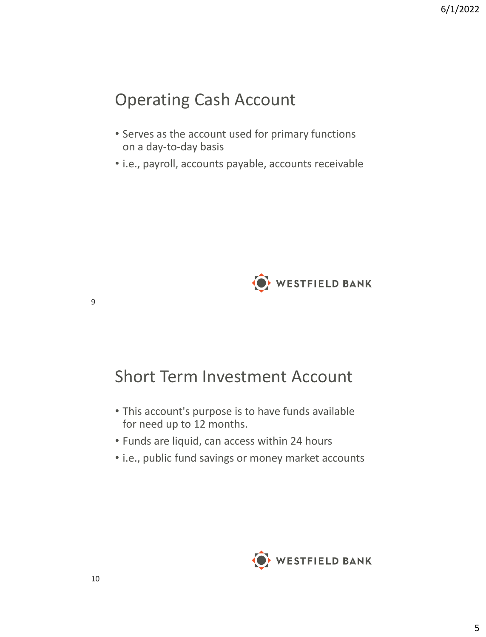## Operating Cash Account

- Serves as the account used for primary functions on a day-to-day basis
- i.e., payroll, accounts payable, accounts receivable



## Short Term Investment Account

- This account's purpose is to have funds available for need up to 12 months.
- Funds are liquid, can access within 24 hours
- i.e., public fund savings or money market accounts

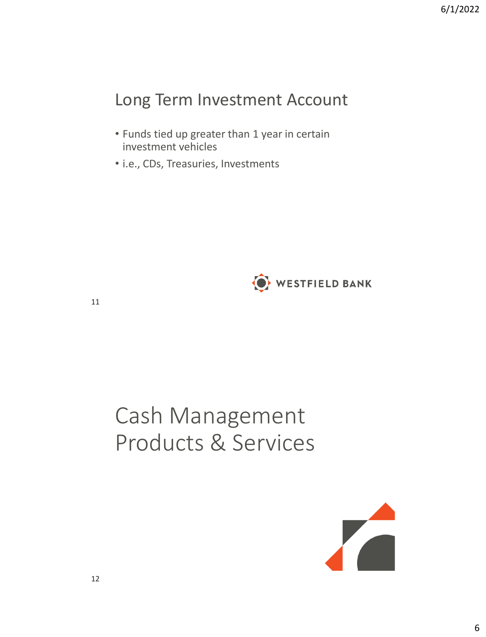## Long Term Investment Account

- Funds tied up greater than 1 year in certain investment vehicles
- i.e., CDs, Treasuries, Investments



11

# Cash Management Products & Services

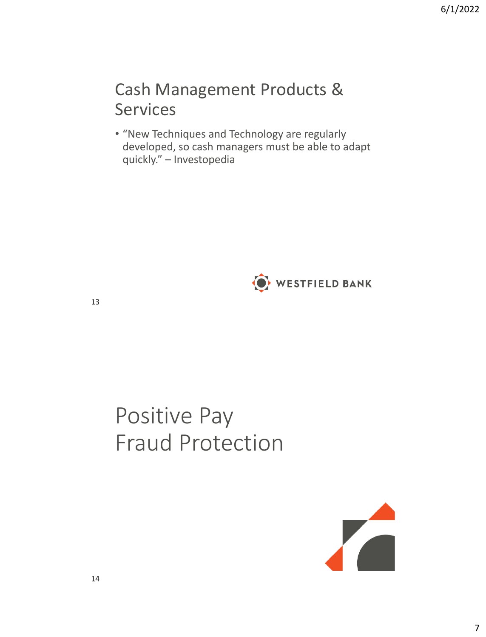## Cash Management Products & Services

• "New Techniques and Technology are regularly developed, so cash managers must be able to adapt quickly." – Investopedia



13

# Positive Pay Fraud Protection

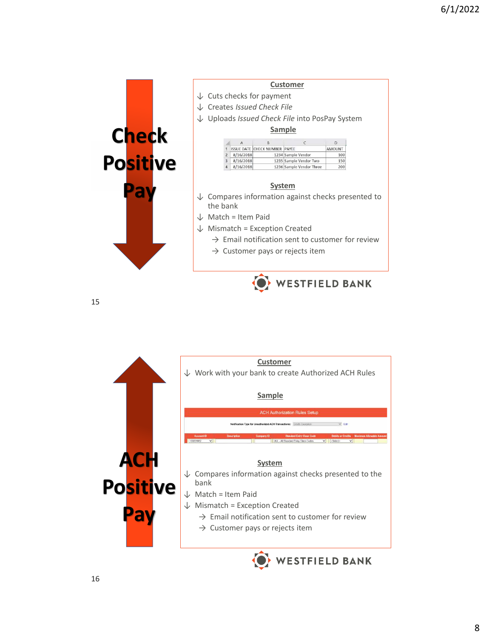

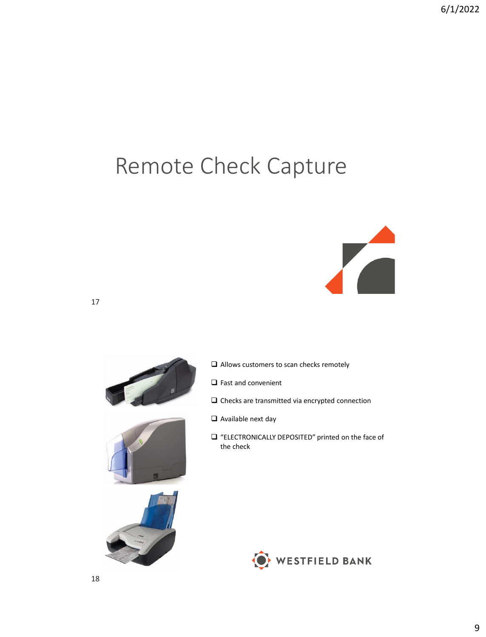# Remote Check Capture









- ❑ Fast and convenient
- ❑ Checks are transmitted via encrypted connection
- ❑ Available next day
- ❑ "ELECTRONICALLY DEPOSITED" printed on the face of the check



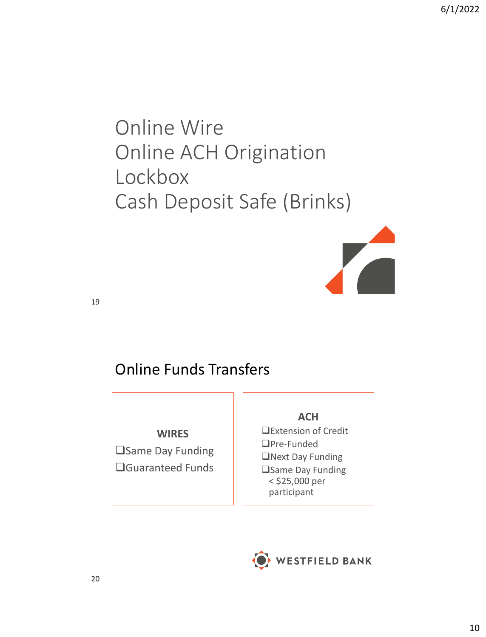## Online Wire Online ACH Origination Lockbox Cash Deposit Safe (Brinks)



19

### Online Funds Transfers

**WIRES** ❑Same Day Funding ❑Guaranteed Funds

#### **ACH**

❑Extension of Credit ❑Pre-Funded ❑Next Day Funding ❑Same Day Funding < \$25,000 per participant

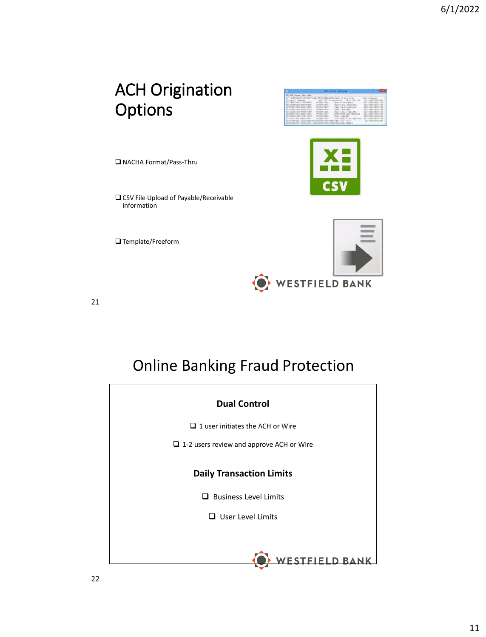## ACH Origination Options



❑ NACHA Format/Pass-Thru

❑ CSV File Upload of Payable/Receivable information

❑ Template/Freeform



21

## Online Banking Fraud Protection

| <b>Dual Control</b>                             |
|-------------------------------------------------|
| $\Box$ 1 user initiates the ACH or Wire         |
| $\Box$ 1-2 users review and approve ACH or Wire |
| <b>Daily Transaction Limits</b>                 |
| $\Box$ Business Level Limits                    |
| $\Box$ User Level Limits                        |
|                                                 |
|                                                 |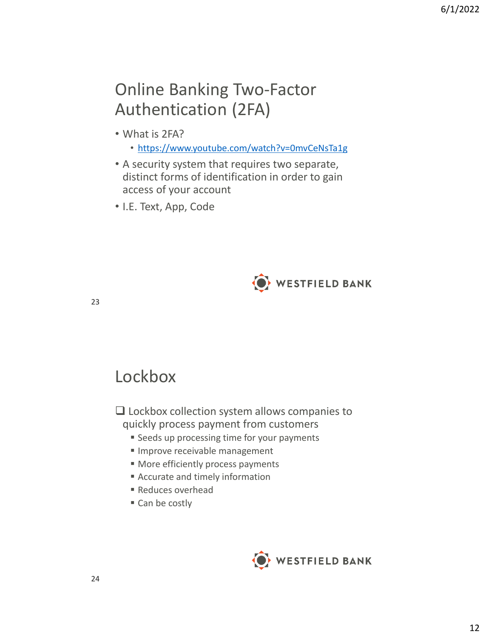## Online Banking Two-Factor Authentication (2FA)

- What is 2FA?
	- <https://www.youtube.com/watch?v=0mvCeNsTa1g>
- A security system that requires two separate, distinct forms of identification in order to gain access of your account
- I.E. Text, App, Code



23

## Lockbox

❑ Lockbox collection system allows companies to quickly process payment from customers

- **Example 3 Seeds up processing time for your payments**
- **Improve receivable management**
- More efficiently process payments
- Accurate and timely information
- Reduces overhead
- Can be costly

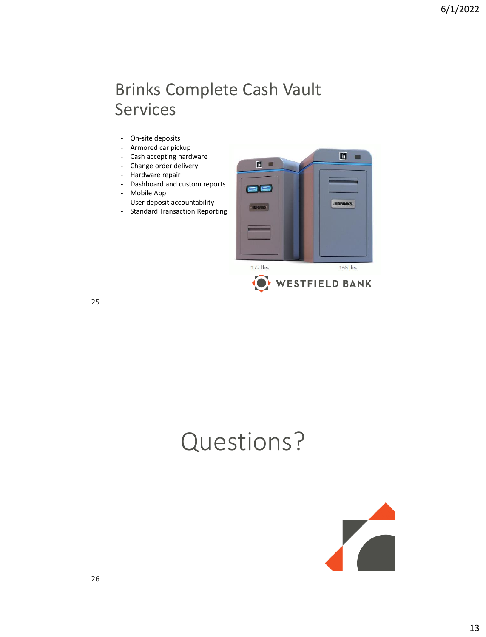## Brinks Complete Cash Vault Services

- On-site deposits
- Armored car pickup
- Cash accepting hardware
- Change order delivery
- Hardware repair
- Dashboard and custom reports
- Mobile App
- User deposit accountability
- Standard Transaction Reporting



25

# Questions?

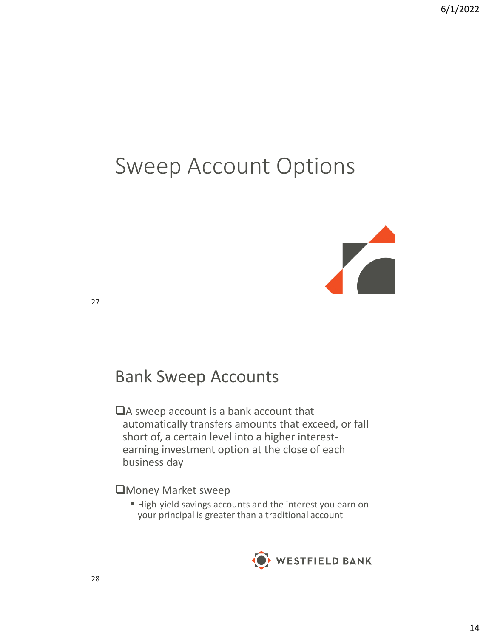## Sweep Account Options



27

## Bank Sweep Accounts

❑A sweep account is a bank account that automatically transfers amounts that exceed, or fall short of, a certain level into a higher interestearning investment option at the close of each business day

❑Money Market sweep

■ High-yield savings accounts and the interest you earn on your principal is greater than a traditional account

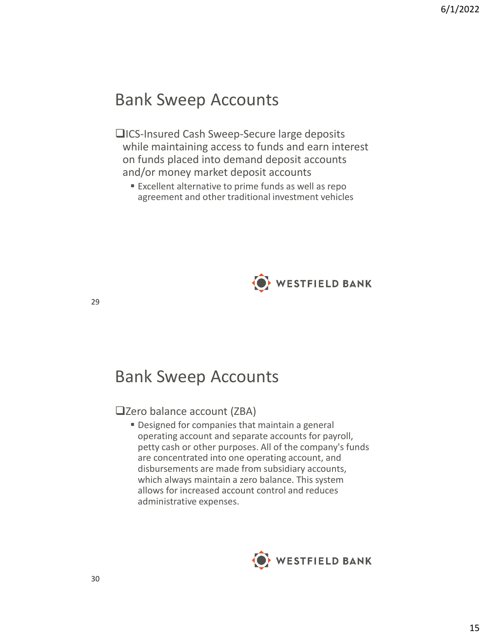### Bank Sweep Accounts

### ❑ICS-Insured Cash Sweep-Secure large deposits while maintaining access to funds and earn interest on funds placed into demand deposit accounts and/or money market deposit accounts

■ Excellent alternative to prime funds as well as repo agreement and other traditional investment vehicles



29

## Bank Sweep Accounts

### ❑Zero balance account (ZBA)

**• Designed for companies that maintain a general** operating account and separate accounts for payroll, petty cash or other purposes. All of the company's funds are concentrated into one operating account, and disbursements are made from subsidiary accounts, which always maintain a zero balance. This system allows for increased account control and reduces administrative expenses.

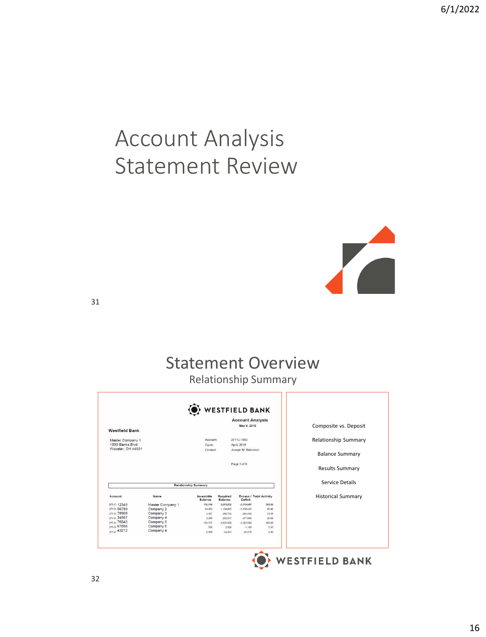# Account Analysis Statement Review



31

## Statement Overview

Relationship Summary

| <b>Westfield Bank</b>               |                        |                                  |                     | <b>Account Analysis</b><br>May 9, 2019 |                         | Composite vs. Deposit     |  |
|-------------------------------------|------------------------|----------------------------------|---------------------|----------------------------------------|-------------------------|---------------------------|--|
| Master Company 1<br>1000 Banks Blvd |                        | Account<br>Cycle:                |                     | 277-C-1063<br>April, 2019              |                         | Relationship Summary      |  |
| Wooster, OH 44691                   |                        | Joseph M. Bilinovich<br>Contact: |                     |                                        |                         | <b>Balance Summary</b>    |  |
|                                     |                        |                                  |                     | Page 1 of 6                            |                         | <b>Results Summary</b>    |  |
|                                     |                        | <b>Relationship Summary</b>      |                     |                                        |                         | Service Details           |  |
| Account                             | Name                   | Investable<br><b>Balance</b>     | Required<br>Balance | Deficit                                | Excess / Total Activity | <b>Historical Summary</b> |  |
| 277-C-12345                         | Master Company 1       | 156,749                          | 5,293,852           | .5.119.687                             | 391.60                  |                           |  |
| 277-D-56789                         | Company 2              | 14.453                           | 1.154.482           | $-1.138.422$                           | 85.40                   |                           |  |
| 277-D-78909                         | Company 3              | 2.097                            | 296.732             | $-294.402$                             | 21.95                   |                           |  |
| 277-D-34567                         | Company 4              | 4,256                            | 282,537             | $-277,808$                             | 20.90                   |                           |  |
| 277-D-76543<br>277-D-67898          | Company 5<br>Company 6 | 128,737                          | 3,525,630           | $-3.382,589$                           | 260.80                  |                           |  |
| 277-D-43212                         | Company 4              | 756                              | 2.028               | $-1,188$                               | 0.15                    |                           |  |
|                                     |                        | 6,450                            | 32.444              | $-25,278$                              | 2.40                    |                           |  |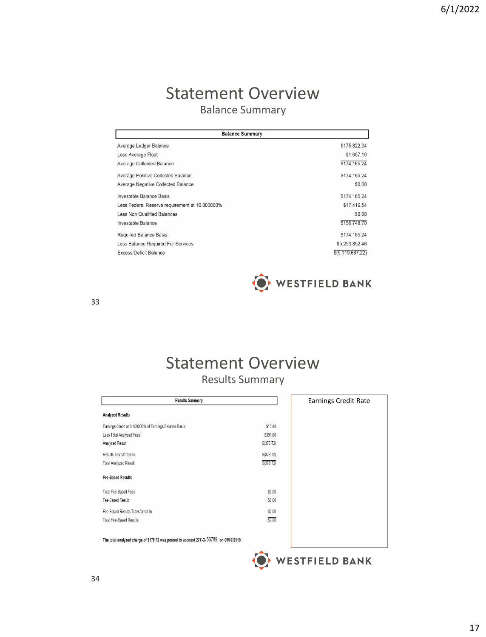### Statement Overview Balance Summary

| <b>Balance Summary</b>                         |                     |  |  |  |
|------------------------------------------------|---------------------|--|--|--|
| Average Ledger Balance                         | \$175,822.34        |  |  |  |
| Less Average Float                             | \$1,657.10          |  |  |  |
| Average Collected Balance                      | \$174,165.24        |  |  |  |
| Average Positive Collected Balance             | \$174,165.24        |  |  |  |
| Average Negative Collected Balance             | \$0.00              |  |  |  |
| Investable Balance Basis                       | \$174,165.24        |  |  |  |
| Less Federal Reserve requirement at 10.000000% | \$17,416.54         |  |  |  |
| Less Non Qualified Balances                    | \$0.00              |  |  |  |
| Investable Balance                             | \$156,748.70        |  |  |  |
| <b>Required Balance Basis</b>                  | \$174,165.24        |  |  |  |
| Less Balance Required For Services             | \$5,293,852.46      |  |  |  |
| Excess/Deficit Balance                         | \$(5, 119, 687, 22) |  |  |  |



33

### Statement Overview Results Summary

| <b>Results Summary</b>                                                                 |            | <b>Earnings Credit Rate</b> |
|----------------------------------------------------------------------------------------|------------|-----------------------------|
| <b>Analyzed Results</b>                                                                |            |                             |
| Earnings Credit at 0.100000% of Earnings Balance Basis                                 | \$12.88    |                             |
| Less Total Analyzed Fees                                                               | \$391.60   |                             |
| Analyzed Result                                                                        | \$(378.72) |                             |
| Results Transferred in                                                                 | \$(378.72) |                             |
| <b>Total Analyzed Result</b>                                                           | \$(378.72) |                             |
| <b>Fee-Based Results</b>                                                               |            |                             |
| <b>Total Fee-Based Fees</b>                                                            | \$0.00     |                             |
| Fee-Based Result                                                                       | \$0.00     |                             |
| Fee-Based Results Transferred In                                                       | \$0.00     |                             |
| <b>Total Fee-Based Results</b>                                                         | \$0.00     |                             |
| The total analyzed charge of \$378.72 was posted to account 277-D-56789 on 05/07/2019. |            |                             |
|                                                                                        |            | <b>WESTFIELD BANK</b>       |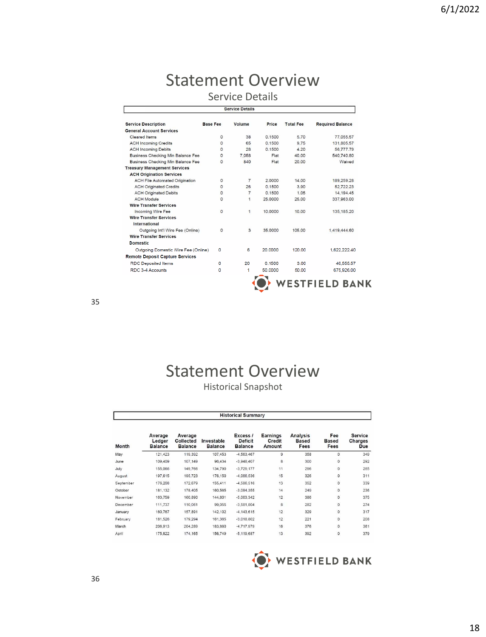### Statement Overview Service Details

**Service Details** 

| <b>Service Description</b>                     | <b>Base Fee</b> | Volume         | Price   | <b>Total Fee</b> | <b>Required Balance</b> |
|------------------------------------------------|-----------------|----------------|---------|------------------|-------------------------|
| <b>General Account Services</b>                |                 |                |         |                  |                         |
| Cleared Items                                  | $\circ$         | 38             | 0.1500  | 5.70             | 77,055.57               |
| <b>ACH Incoming Credits</b>                    | $\Omega$        | 65             | 0.1500  | 9.75             | 131,805.57              |
| <b>ACH Incoming Debits</b>                     | $\Omega$        | 28             | 0.1500  | 4.20             | 56,777.79               |
| <b>Business Checking Min Balance Fee</b>       | 0               | 7.058          | Flat    | 40.00            | 540,740.80              |
| <b>Business Checking Min Balance Fee</b>       | $\Omega$        | 840            | Flat    | 20.00            | Waived                  |
| <b>Treasury Management Services</b>            |                 |                |         |                  |                         |
| <b>ACH Origination Services</b>                |                 |                |         |                  |                         |
| <b>ACH File Automated Origination</b>          | 0               | $\overline{7}$ | 2.0000  | 14.00            | 189,259.28              |
| <b>ACH Originated Credits</b>                  | 0               | 26             | 0.1500  | 3.90             | 52.722.23               |
| <b>ACH Originated Debits</b>                   | $\Omega$        | $\overline{7}$ | 0.1500  | 1.05             | 14.194.45               |
| <b>ACH Module</b>                              | 0               | $\mathbf{1}$   | 25,0000 | 25.00            | 337,963.00              |
| <b>Wire Transfer Services</b>                  |                 |                |         |                  |                         |
| <b>Incoming Wire Fee</b>                       | 0               | $\overline{1}$ | 10.0000 | 10.00            | 135, 185, 20            |
| <b>Wire Transfer Services</b><br>International |                 |                |         |                  |                         |
| Outgoing Int'l Wire Fee (Online)               | 0               | 3              | 35,0000 | 105.00           | 1,419,444.60            |
| <b>Wire Transfer Services</b>                  |                 |                |         |                  |                         |
| <b>Domestic</b>                                |                 |                |         |                  |                         |
| Outgoing Domestic Wire Fee (Online)            | o               | 6              | 20,0000 | 120.00           | 1.622.222.40            |
| <b>Remote Deposit Capture Services</b>         |                 |                |         |                  |                         |
| <b>RDC Deposited Items</b>                     | o               | 20             | 0.1500  | 3.00             | 40.555.57               |
| RDC 3-4 Accounts                               | o               | 1              | 50,0000 | 50.00            | 675,926.00              |

35

## Statement Overview

Historical Snapshot

| <b>Historical Summary</b> |                                     |                                        |                              |                                              |                              |                                         |                                    |                                  |  |
|---------------------------|-------------------------------------|----------------------------------------|------------------------------|----------------------------------------------|------------------------------|-----------------------------------------|------------------------------------|----------------------------------|--|
| Month                     | Average<br>Ledger<br><b>Balance</b> | Average<br>Collected<br><b>Balance</b> | Investable<br><b>Balance</b> | Excess /<br><b>Deficit</b><br><b>Balance</b> | Earnings<br>Credit<br>Amount | <b>Analysis</b><br><b>Based</b><br>Fees | Fee<br><b>Based</b><br><b>Fees</b> | <b>Service</b><br>Charges<br>Due |  |
| May                       | 121,423                             | 119,392                                | 107,453                      | $-4.563.467$                                 | 9                            | 358                                     | $\circ$                            | 349                              |  |
| June                      | 109,409                             | 107,149                                | 96,434                       | $-3,948,407$                                 | 8                            | 300                                     | $\overline{0}$                     | 292                              |  |
| July                      | 155,066                             | 149,766                                | 134,790                      | $-3.729.177$                                 | 11                           | 296                                     | $\overline{0}$                     | 285                              |  |
| August                    | 197,615                             | 195.723                                | 176,150                      | $-4.066.536$                                 | 15                           | 326                                     | $\mathbf{0}$                       | 311                              |  |
| September                 | 176,208                             | 172,679                                | 155,411                      | $-4.586.516$                                 | 13                           | 352                                     | $\overline{0}$                     | 339                              |  |
| October                   | 181,132                             | 178,405                                | 160,565                      | $-3.084.355$                                 | 14                           | 249                                     | $\mathbf{0}$                       | 236                              |  |
| November                  | 163,759                             | 160,890                                | 144,801                      | $-5.063.342$                                 | 12                           | 386                                     | $\mathbf{0}$                       | 375                              |  |
| December                  | 111,737                             | 110.061                                | 99,055                       | $-3.581.804$                                 | $\dot{\mathbf{g}}$           | 282                                     | $\mathbf{0}$                       | 274                              |  |
| January                   | 160,767                             | 157,891                                | 142,102                      | $-4, 143, 615$                               | 12                           | 329                                     | o                                  | 317                              |  |
| February                  | 181,526                             | 179,294                                | 161,365                      | $-3,018,802$                                 | 12                           | 221                                     | $\overline{0}$                     | 208                              |  |
| March                     | 206,913                             | 204.289                                | 183,860                      | $-4.717.979$                                 | 16                           | 376                                     | 0                                  | 361                              |  |
| April                     | 175,822                             | 174.165                                | 156,749                      | $-5.119.687$                                 | 13                           | 392                                     | 0                                  | 379                              |  |

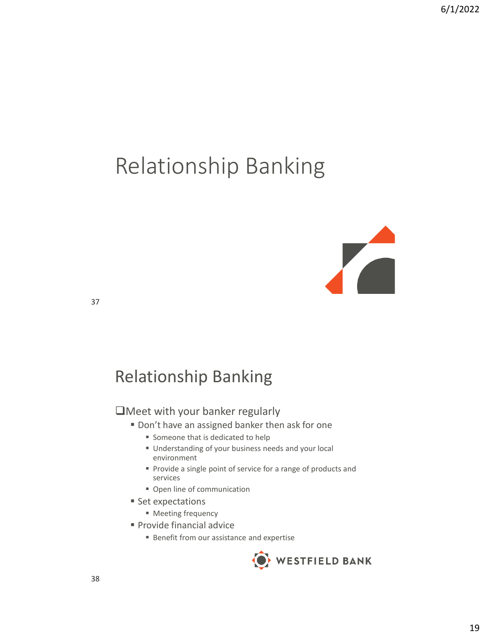# Relationship Banking



37

## Relationship Banking

### ❑Meet with your banker regularly

- Don't have an assigned banker then ask for one
	- Someone that is dedicated to help
	- Understanding of your business needs and your local environment
	- Provide a single point of service for a range of products and services
	- Open line of communication
- Set expectations
	- Meeting frequency
- Provide financial advice
	- Benefit from our assistance and expertise

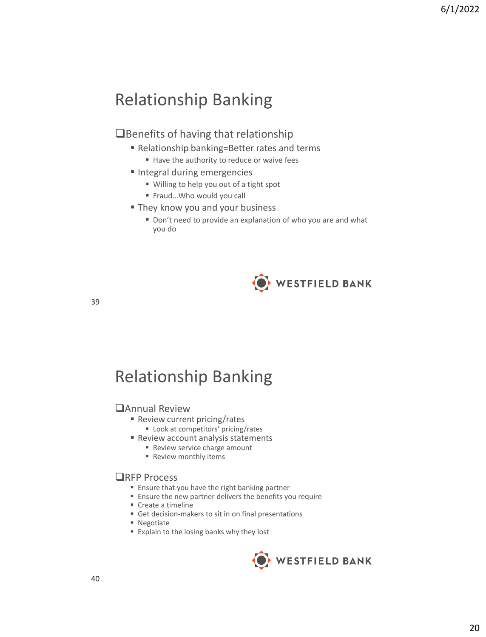## Relationship Banking

### ❑Benefits of having that relationship

- Relationship banking=Better rates and terms
	- Have the authority to reduce or waive fees
- Integral during emergencies
	- Willing to help you out of a tight spot
	- Fraud...Who would you call
- They know you and your business
	- Don't need to provide an explanation of who you are and what you do



39

## Relationship Banking

#### ❑Annual Review

- Review current pricing/rates
	- Look at competitors' pricing/rates
- Review account analysis statements
	- Review service charge amount
	- Review monthly items

#### ❑RFP Process

- Ensure that you have the right banking partner
- Ensure the new partner delivers the benefits you require
- Create a timeline
- Get decision-makers to sit in on final presentations
- Negotiate
- Explain to the losing banks why they lost

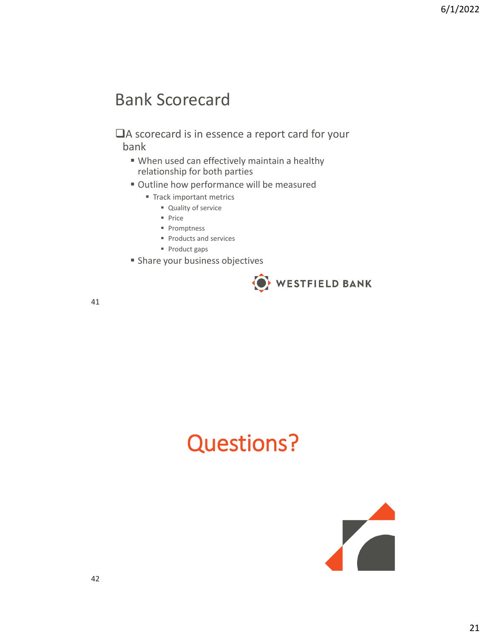## Bank Scorecard

❑A scorecard is in essence a report card for your bank

- When used can effectively maintain a healthy relationship for both parties
- **Outline how performance will be measured** 
	- **Track important metrics** 
		- Quality of service
		- Price
		- Promptness
		- Products and services
		- Product gaps
- **E** Share your business objectives



41

# Questions?

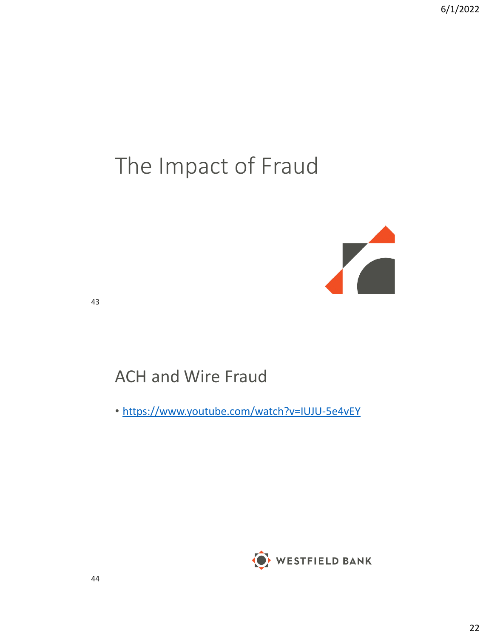# The Impact of Fraud



43

## ACH and Wire Fraud

• <https://www.youtube.com/watch?v=IUJU-5e4vEY>

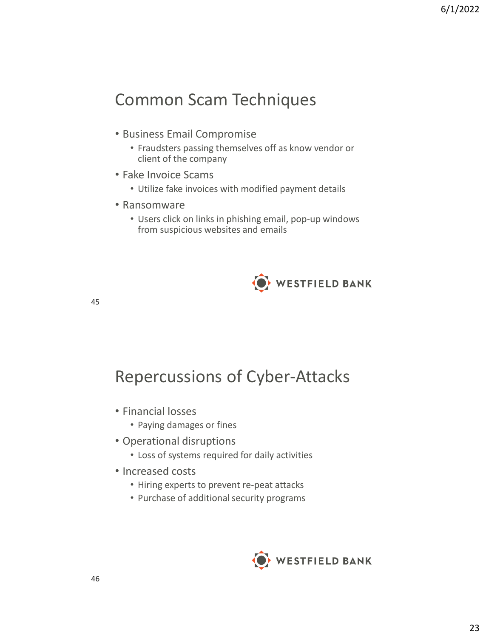## Common Scam Techniques

- Business Email Compromise
	- Fraudsters passing themselves off as know vendor or client of the company
- Fake Invoice Scams
	- Utilize fake invoices with modified payment details
- Ransomware
	- Users click on links in phishing email, pop-up windows from suspicious websites and emails



45

Repercussions of Cyber-Attacks

- Financial losses
	- Paying damages or fines
- Operational disruptions
	- Loss of systems required for daily activities
- Increased costs
	- Hiring experts to prevent re-peat attacks
	- Purchase of additional security programs

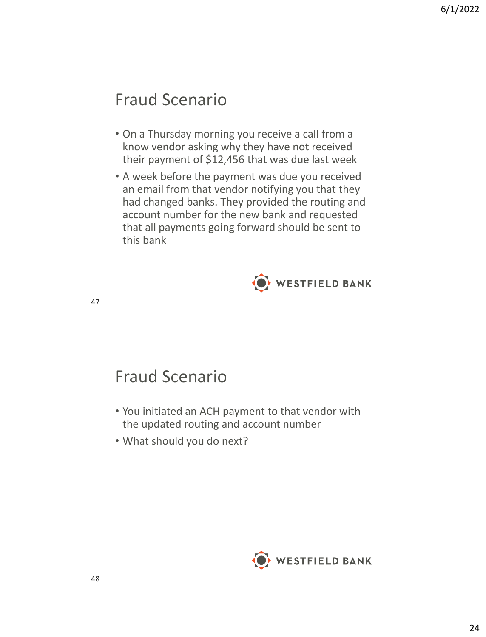## Fraud Scenario

- On a Thursday morning you receive a call from a know vendor asking why they have not received their payment of \$12,456 that was due last week
- A week before the payment was due you received an email from that vendor notifying you that they had changed banks. They provided the routing and account number for the new bank and requested that all payments going forward should be sent to this bank



47

## Fraud Scenario

- You initiated an ACH payment to that vendor with the updated routing and account number
- What should you do next?

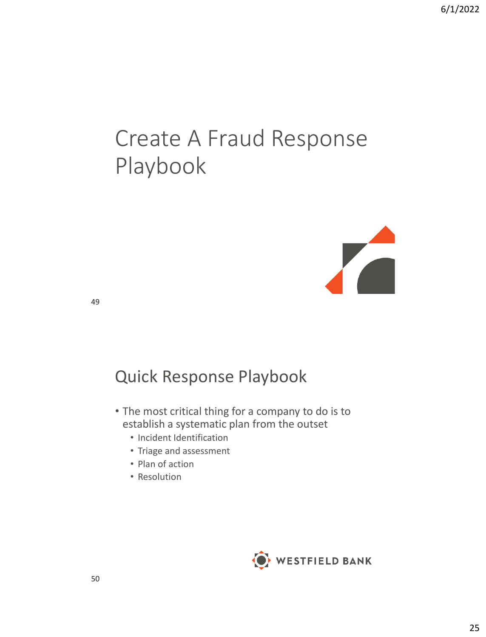# Create A Fraud Response Playbook



49

## Quick Response Playbook

- The most critical thing for a company to do is to establish a systematic plan from the outset
	- Incident Identification
	- Triage and assessment
	- Plan of action
	- Resolution

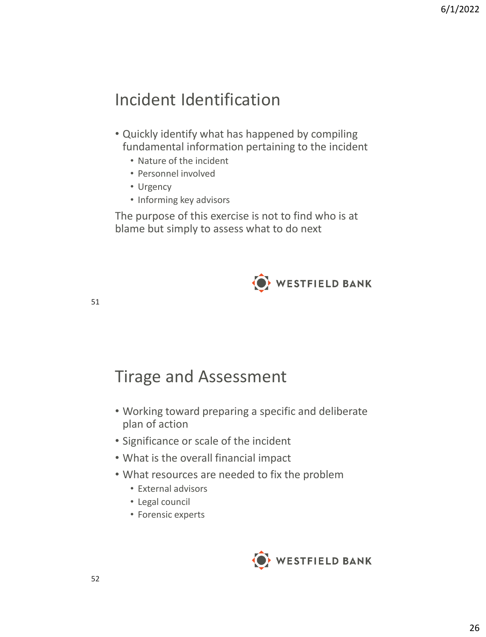## Incident Identification

- Quickly identify what has happened by compiling fundamental information pertaining to the incident
	- Nature of the incident
	- Personnel involved
	- Urgency
	- Informing key advisors

The purpose of this exercise is not to find who is at blame but simply to assess what to do next



51

## Tirage and Assessment

- Working toward preparing a specific and deliberate plan of action
- Significance or scale of the incident
- What is the overall financial impact
- What resources are needed to fix the problem
	- External advisors
	- Legal council
	- Forensic experts

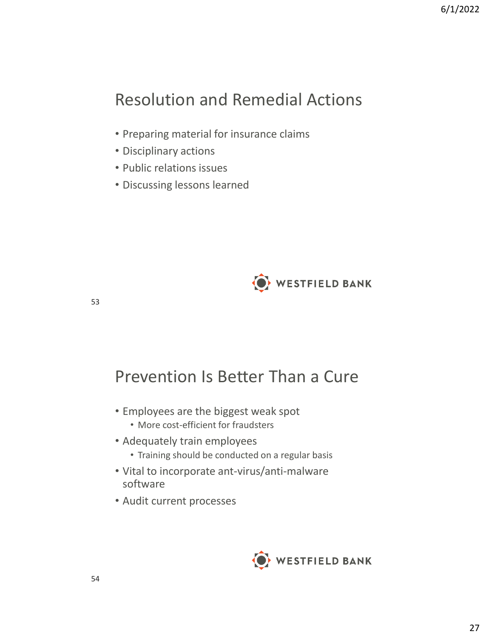## Resolution and Remedial Actions

- Preparing material for insurance claims
- Disciplinary actions
- Public relations issues
- Discussing lessons learned



53

## Prevention Is Better Than a Cure

- Employees are the biggest weak spot
	- More cost-efficient for fraudsters
- Adequately train employees
	- Training should be conducted on a regular basis
- Vital to incorporate ant-virus/anti-malware software
- Audit current processes